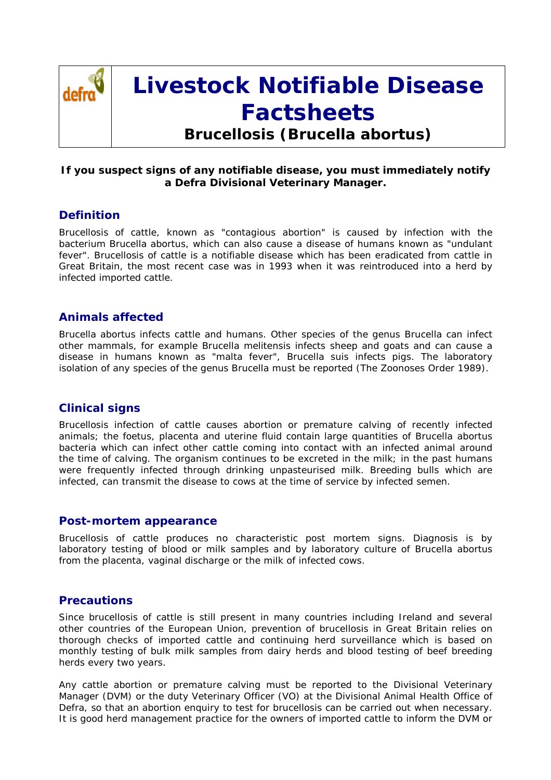

# **Livestock Notifiable Disease Factsheets**

**Brucellosis (***Brucella abortus***)**

#### **If you suspect signs of any notifiable disease, you must immediately notify a Defra Divisional Veterinary Manager.**

### **Definition**

Brucellosis of cattle, known as "contagious abortion" is caused by infection with the bacterium Brucella abortus, which can also cause a disease of humans known as "undulant fever". Brucellosis of cattle is a notifiable disease which has been eradicated from cattle in Great Britain, the most recent case was in 1993 when it was reintroduced into a herd by infected imported cattle.

# **Animals affected**

Brucella abortus infects cattle and humans. Other species of the genus Brucella can infect other mammals, for example Brucella melitensis infects sheep and goats and can cause a disease in humans known as "malta fever", Brucella suis infects pigs. The laboratory isolation of any species of the genus Brucella must be reported (The Zoonoses Order 1989).

# **Clinical signs**

Brucellosis infection of cattle causes abortion or premature calving of recently infected animals; the foetus, placenta and uterine fluid contain large quantities of Brucella abortus bacteria which can infect other cattle coming into contact with an infected animal around the time of calving. The organism continues to be excreted in the milk; in the past humans were frequently infected through drinking unpasteurised milk. Breeding bulls which are infected, can transmit the disease to cows at the time of service by infected semen.

#### **Post-mortem appearance**

Brucellosis of cattle produces no characteristic post mortem signs. Diagnosis is by laboratory testing of blood or milk samples and by laboratory culture of Brucella abortus from the placenta, vaginal discharge or the milk of infected cows.

### **Precautions**

Since brucellosis of cattle is still present in many countries including Ireland and several other countries of the European Union, prevention of brucellosis in Great Britain relies on thorough checks of imported cattle and continuing herd surveillance which is based on monthly testing of bulk milk samples from dairy herds and blood testing of beef breeding herds every two years.

Any cattle abortion or premature calving must be reported to the Divisional Veterinary Manager (DVM) or the duty Veterinary Officer (VO) at the Divisional Animal Health Office of Defra, so that an abortion enquiry to test for brucellosis can be carried out when necessary. It is good herd management practice for the owners of imported cattle to inform the DVM or